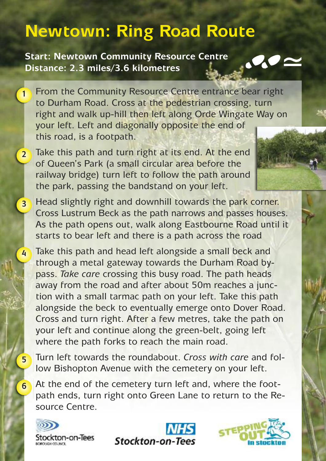## **Newtown: Ring Road Route**

**Start: Newtown Community Resource Centre Distance: 2.3 miles/3.6 kilometres**



From the Community Resource Centre entrance bear right to Durham Road. Cross at the pedestrian crossing, turn right and walk up-hill then left along Orde Wingate Way on your left. Left and diagonally opposite the end of this road, is a footpath. **1**

Take this path and turn right at its end. At the end of Queen's Park (a small circular area before the railway bridge) turn left to follow the path around the park, passing the bandstand on your left. **2**

Head slightly right and downhill towards the park corner. Cross Lustrum Beck as the path narrows and passes houses. As the path opens out, walk along Eastbourne Road until it starts to bear left and there is a path across the road **3**

Take this path and head left alongside a small beck and through a metal gateway towards the Durham Road bypass. *Take care* crossing this busy road. The path heads away from the road and after about 50m reaches a junction with a small tarmac path on your left. Take this path alongside the beck to eventually emerge onto Dover Road. Cross and turn right. After a few metres, take the path on your left and continue along the green-belt, going left where the path forks to reach the main road.

Turn left towards the roundabout. *Cross with care* and follow Bishopton Avenue with the cemetery on your left.

At the end of the cemetery turn left and, where the footpath ends, turn right onto Green Lane to return to the Resource Centre.



**4**

**5**

**6**